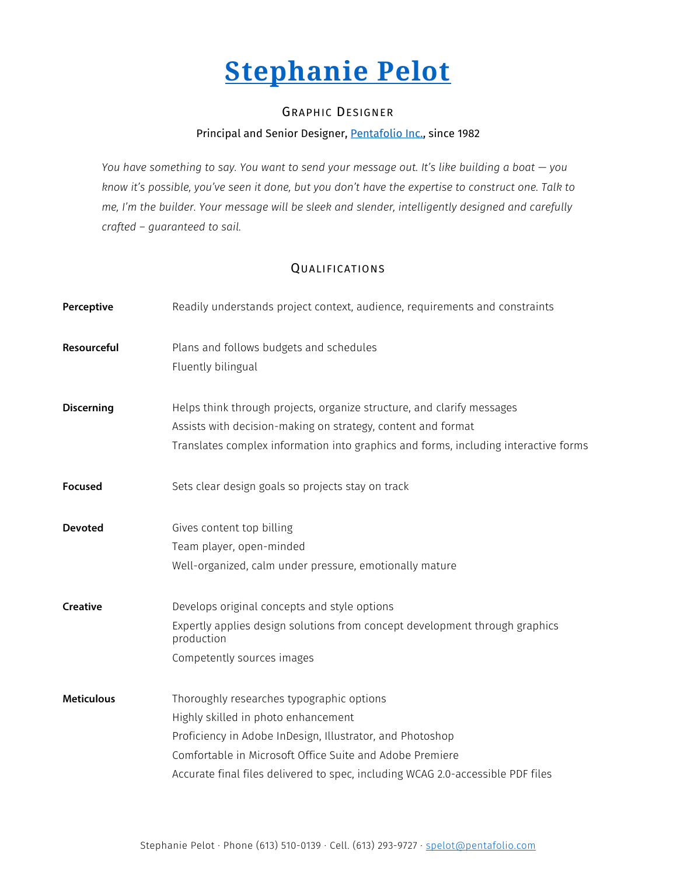# **[Stephanie Pelot](http://stephaniepelot.ca/en/)**

## GRAPHIC DESIGNER

## Principal and Senior Designer, [Pentafolio Inc.,](http://pentafolio.com/en/) since 1982

*You have something to say. You want to send your message out. It's like building a boat — you know it's possible, you've seen it done, but you don't have the expertise to construct one. Talk to me, I'm the builder. Your message will be sleek and slender, intelligently designed and carefully crafted – guaranteed to sail.*

## QUALIFICATIONS

| Perceptive        | Readily understands project context, audience, requirements and constraints                                                                                                                                                                                                                  |
|-------------------|----------------------------------------------------------------------------------------------------------------------------------------------------------------------------------------------------------------------------------------------------------------------------------------------|
| Resourceful       | Plans and follows budgets and schedules<br>Fluently bilingual                                                                                                                                                                                                                                |
| <b>Discerning</b> | Helps think through projects, organize structure, and clarify messages<br>Assists with decision-making on strategy, content and format<br>Translates complex information into graphics and forms, including interactive forms                                                                |
| <b>Focused</b>    | Sets clear design goals so projects stay on track                                                                                                                                                                                                                                            |
| <b>Devoted</b>    | Gives content top billing<br>Team player, open-minded<br>Well-organized, calm under pressure, emotionally mature                                                                                                                                                                             |
| <b>Creative</b>   | Develops original concepts and style options<br>Expertly applies design solutions from concept development through graphics<br>production<br>Competently sources images                                                                                                                      |
| <b>Meticulous</b> | Thoroughly researches typographic options<br>Highly skilled in photo enhancement<br>Proficiency in Adobe InDesign, Illustrator, and Photoshop<br>Comfortable in Microsoft Office Suite and Adobe Premiere<br>Accurate final files delivered to spec, including WCAG 2.0-accessible PDF files |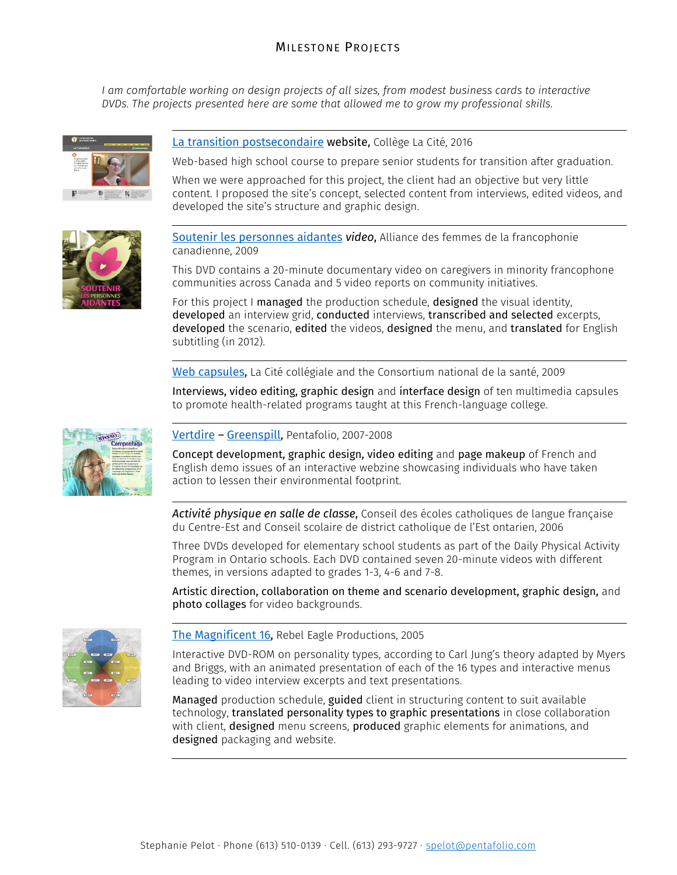## MILESTONE PROJECTS

*I am comfortable working on design projects of all sizes, from modest business cards to interactive DVDs. The projects presented here are some that allowed me to grow my professional skills.*





## [La transition postsecondaire](http://transitionpostsecondaire.collegelacite.ca/) website, Collège La Cité, 2016

Web-based high school course to prepare senior students for transition after graduation.

When we were approached for this project, the client had an objective but very little content. I proposed the site's concept, selected content from interviews, edited videos, and developed the site's structure and graphic design.

[Soutenir les personnes aidantes](https://vimeo.com/110818304) *video*, Alliance des femmes de la francophonie canadienne, 2009

This DVD contains a 20-minute documentary video on caregivers in minority francophone communities across Canada and 5 video reports on community initiatives.

For this project I managed the production schedule, designed the visual identity, developed an interview grid, conducted interviews, transcribed and selected excerpts, developed the scenario, edited the videos, designed the menu, and translated for English subtitling (in 2012).

[Web capsules,](http://www.media.pentafolio.com/video/lacitecapsules/index.html) La Cité collégiale and the Consortium national de la santé, 2009

Interviews, video editing, graphic design and interface design of ten multimedia capsules to promote health-related programs taught at this French-language college.



#### [Vertdire](http://media.pentafolio.com/interactivite/greenspill/vertdire.html) *–* [Greenspill,](http://media.pentafolio.com/interactivite/greenspill/greenspill.html) Pentafolio, 2007-2008

Concept development, graphic design, video editing and page makeup of French and English demo issues of an interactive webzine showcasing individuals who have taken action to lessen their environmental footprint.

*Activité physique en salle de classe*, Conseil des écoles catholiques de langue française du Centre-Est and Conseil scolaire de district catholique de l'Est ontarien, 2006

Three DVDs developed for elementary school students as part of the Daily Physical Activity Program in Ontario schools. Each DVD contained seven 20-minute videos with different themes, in versions adapted to grades 1-3, 4-6 and 7-8.

Artistic direction, collaboration on theme and scenario development, graphic design, and photo collages for video backgrounds.



[The Magnificent 16,](http://stephaniepelot.ca/en/portfolio/10-Magnificent-16/) Rebel Eagle Productions, 2005

Interactive DVD-ROM on personality types, according to Carl Jung's theory adapted by Myers and Briggs, with an animated presentation of each of the 16 types and interactive menus leading to video interview excerpts and text presentations.

Managed production schedule, guided client in structuring content to suit available technology, translated personality types to graphic presentations in close collaboration with client, designed menu screens, produced graphic elements for animations, and designed packaging and website.